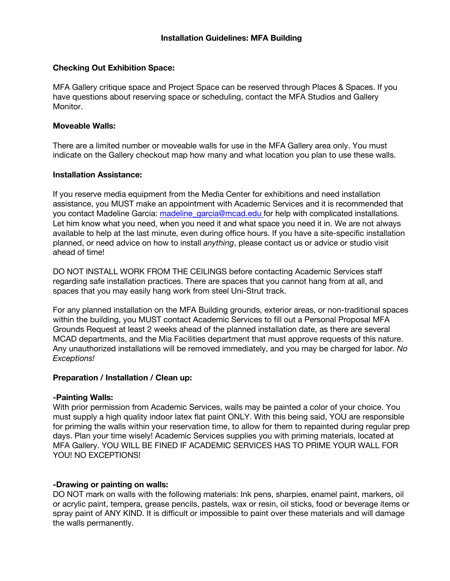### **Checking Out Exhibition Space:**

MFA Gallery critique space and Project Space can be reserved through Places & Spaces. If you have questions about reserving space or scheduling, contact the MFA Studios and Gallery Monitor.

### **Moveable Walls:**

There are a limited number or moveable walls for use in the MFA Gallery area only. You must indicate on the Gallery checkout map how many and what location you plan to use these walls.

### **Installation Assistance:**

If you reserve media equipment from the Media Center for exhibitions and need installation assistance, you MUST make an appointment with Academic Services and it is recommended that you contact Madeline Garcia: madeline garcia@mcad.edu for help with complicated installations. Let him know what you need, when you need it and what space you need it in. We are not always available to help at the last minute, even during office hours. If you have a site-specific installation planned, or need advice on how to install *anything*, please contact us or advice or studio visit ahead of time!

DO NOT INSTALL WORK FROM THE CEILINGS before contacting Academic Services staff regarding safe installation practices. There are spaces that you cannot hang from at all, and spaces that you may easily hang work from steel Uni-Strut track.

For any planned installation on the MFA Building grounds, exterior areas, or non-traditional spaces within the building, you MUST contact Academic Services to fill out a Personal Proposal MFA Grounds Request at least 2 weeks ahead of the planned installation date, as there are several MCAD departments, and the Mia Facilities department that must approve requests of this nature. Any unauthorized installations will be removed immediately, and you may be charged for labor. *No Exceptions!*

# **Preparation / Installation / Clean up:**

### **-Painting Walls:**

With prior permission from Academic Services, walls may be painted a color of your choice. You must supply a high quality indoor latex flat paint ONLY. With this being said, YOU are responsible for priming the walls within your reservation time, to allow for them to repainted during regular prep days. Plan your time wisely! Academic Services supplies you with priming materials, located at MFA Gallery. YOU WILL BE FINED IF ACADEMIC SERVICES HAS TO PRIME YOUR WALL FOR YOU! NO EXCEPTIONS!

# **-Drawing or painting on walls:**

DO NOT mark on walls with the following materials: Ink pens, sharpies, enamel paint, markers, oil or acrylic paint, tempera, grease pencils, pastels, wax or resin, oil sticks, food or beverage items or spray paint of ANY KIND. It is difficult or impossible to paint over these materials and will damage the walls permanently.